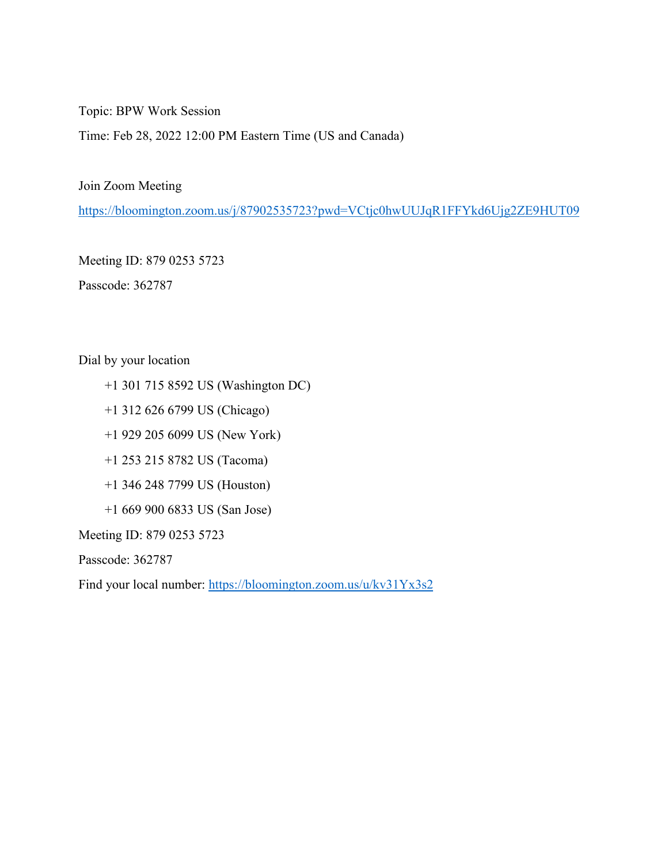Topic: BPW Work Session

Time: Feb 28, 2022 12:00 PM Eastern Time (US and Canada)

Join Zoom Meeting

<https://bloomington.zoom.us/j/87902535723?pwd=VCtjc0hwUUJqR1FFYkd6Ujg2ZE9HUT09>

Meeting ID: 879 0253 5723

Passcode: 362787

Dial by your location

- +1 301 715 8592 US (Washington DC)
- +1 312 626 6799 US (Chicago)
- +1 929 205 6099 US (New York)
- +1 253 215 8782 US (Tacoma)
- +1 346 248 7799 US (Houston)
- +1 669 900 6833 US (San Jose)

Meeting ID: 879 0253 5723

Passcode: 362787

Find your local number:<https://bloomington.zoom.us/u/kv31Yx3s2>